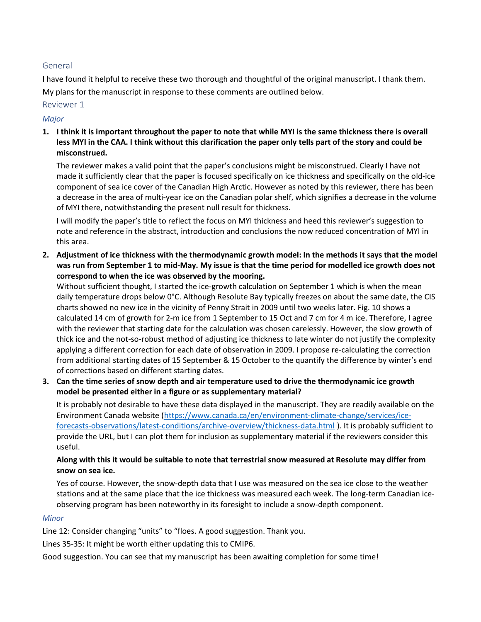## General

I have found it helpful to receive these two thorough and thoughtful of the original manuscript. I thank them. My plans for the manuscript in response to these comments are outlined below.

#### Reviewer 1

### Major

1. I think it is important throughout the paper to note that while MYI is the same thickness there is overall less MYI in the CAA. I think without this clarification the paper only tells part of the story and could be misconstrued.

The reviewer makes a valid point that the paper's conclusions might be misconstrued. Clearly I have not made it sufficiently clear that the paper is focused specifically on ice thickness and specifically on the old-ice component of sea ice cover of the Canadian High Arctic. However as noted by this reviewer, there has been a decrease in the area of multi-year ice on the Canadian polar shelf, which signifies a decrease in the volume of MYI there, notwithstanding the present null result for thickness.

I will modify the paper's title to reflect the focus on MYI thickness and heed this reviewer's suggestion to note and reference in the abstract, introduction and conclusions the now reduced concentration of MYI in this area.

2. Adjustment of ice thickness with the thermodynamic growth model: In the methods it says that the model was run from September 1 to mid-May. My issue is that the time period for modelled ice growth does not correspond to when the ice was observed by the mooring.

Without sufficient thought, I started the ice-growth calculation on September 1 which is when the mean daily temperature drops below 0°C. Although Resolute Bay typically freezes on about the same date, the CIS charts showed no new ice in the vicinity of Penny Strait in 2009 until two weeks later. Fig. 10 shows a calculated 14 cm of growth for 2-m ice from 1 September to 15 Oct and 7 cm for 4 m ice. Therefore, I agree with the reviewer that starting date for the calculation was chosen carelessly. However, the slow growth of thick ice and the not-so-robust method of adjusting ice thickness to late winter do not justify the complexity applying a different correction for each date of observation in 2009. I propose re-calculating the correction from additional starting dates of 15 September & 15 October to the quantify the difference by winter's end of corrections based on different starting dates.

3. Can the time series of snow depth and air temperature used to drive the thermodynamic ice growth model be presented either in a figure or as supplementary material?

It is probably not desirable to have these data displayed in the manuscript. They are readily available on the Environment Canada website (https://www.canada.ca/en/environment-climate-change/services/iceforecasts-observations/latest-conditions/archive-overview/thickness-data.html ). It is probably sufficient to provide the URL, but I can plot them for inclusion as supplementary material if the reviewers consider this useful.

# Along with this it would be suitable to note that terrestrial snow measured at Resolute may differ from snow on sea ice.

Yes of course. However, the snow-depth data that I use was measured on the sea ice close to the weather stations and at the same place that the ice thickness was measured each week. The long-term Canadian iceobserving program has been noteworthy in its foresight to include a snow-depth component.

#### **Minor**

Line 12: Consider changing "units" to "floes. A good suggestion. Thank you.

Lines 35-35: It might be worth either updating this to CMIP6.

Good suggestion. You can see that my manuscript has been awaiting completion for some time!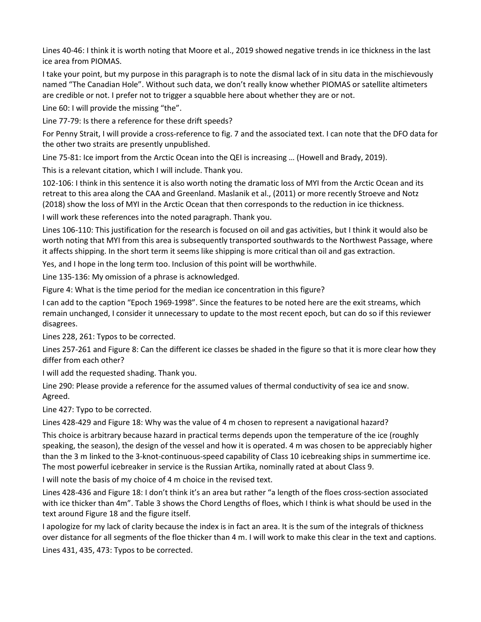Lines 40-46: I think it is worth noting that Moore et al., 2019 showed negative trends in ice thickness in the last ice area from PIOMAS.

I take your point, but my purpose in this paragraph is to note the dismal lack of in situ data in the mischievously named "The Canadian Hole". Without such data, we don't really know whether PIOMAS or satellite altimeters are credible or not. I prefer not to trigger a squabble here about whether they are or not.

Line 60: I will provide the missing "the".

Line 77-79: Is there a reference for these drift speeds?

For Penny Strait, I will provide a cross-reference to fig. 7 and the associated text. I can note that the DFO data for the other two straits are presently unpublished.

Line 75-81: Ice import from the Arctic Ocean into the QEI is increasing … (Howell and Brady, 2019).

This is a relevant citation, which I will include. Thank you.

102-106: I think in this sentence it is also worth noting the dramatic loss of MYI from the Arctic Ocean and its retreat to this area along the CAA and Greenland. Maslanik et al., (2011) or more recently Stroeve and Notz (2018) show the loss of MYI in the Arctic Ocean that then corresponds to the reduction in ice thickness.

I will work these references into the noted paragraph. Thank you.

Lines 106-110: This justification for the research is focused on oil and gas activities, but I think it would also be worth noting that MYI from this area is subsequently transported southwards to the Northwest Passage, where it affects shipping. In the short term it seems like shipping is more critical than oil and gas extraction.

Yes, and I hope in the long term too. Inclusion of this point will be worthwhile.

Line 135-136: My omission of a phrase is acknowledged.

Figure 4: What is the time period for the median ice concentration in this figure?

I can add to the caption "Epoch 1969-1998". Since the features to be noted here are the exit streams, which remain unchanged, I consider it unnecessary to update to the most recent epoch, but can do so if this reviewer disagrees.

Lines 228, 261: Typos to be corrected.

Lines 257-261 and Figure 8: Can the different ice classes be shaded in the figure so that it is more clear how they differ from each other?

I will add the requested shading. Thank you.

Line 290: Please provide a reference for the assumed values of thermal conductivity of sea ice and snow. Agreed.

Line 427: Typo to be corrected.

Lines 428-429 and Figure 18: Why was the value of 4 m chosen to represent a navigational hazard?

This choice is arbitrary because hazard in practical terms depends upon the temperature of the ice (roughly speaking, the season), the design of the vessel and how it is operated. 4 m was chosen to be appreciably higher than the 3 m linked to the 3-knot-continuous-speed capability of Class 10 icebreaking ships in summertime ice. The most powerful icebreaker in service is the Russian Artika, nominally rated at about Class 9.

I will note the basis of my choice of 4 m choice in the revised text.

Lines 428-436 and Figure 18: I don't think it's an area but rather "a length of the floes cross-section associated with ice thicker than 4m". Table 3 shows the Chord Lengths of floes, which I think is what should be used in the text around Figure 18 and the figure itself.

I apologize for my lack of clarity because the index is in fact an area. It is the sum of the integrals of thickness over distance for all segments of the floe thicker than 4 m. I will work to make this clear in the text and captions.

Lines 431, 435, 473: Typos to be corrected.